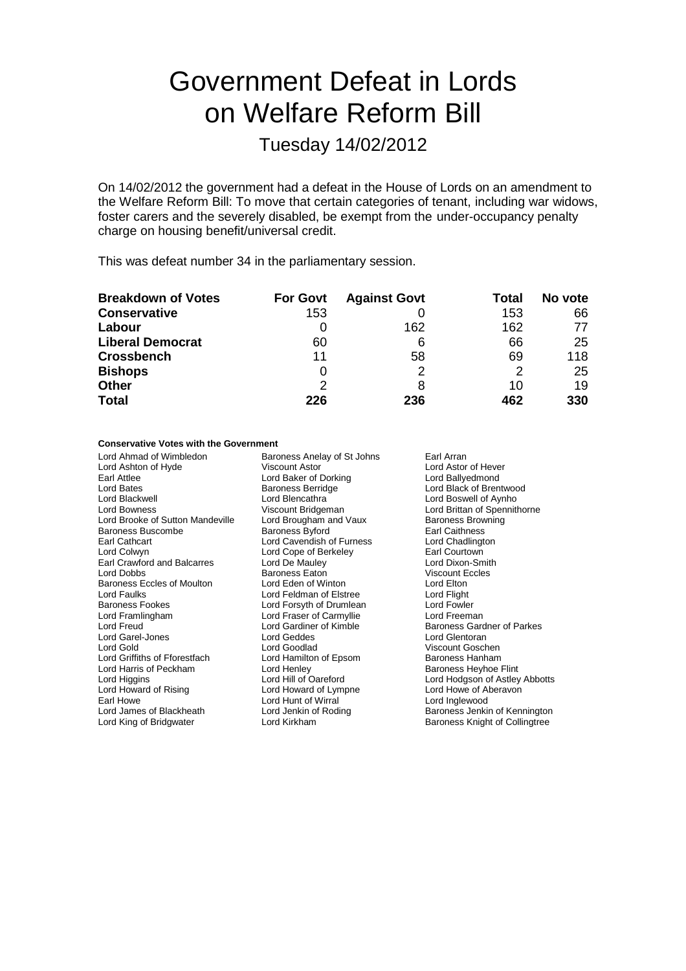# Government Defeat in Lords on Welfare Reform Bill

### Tuesday 14/02/2012

On 14/02/2012 the government had a defeat in the House of Lords on an amendment to the Welfare Reform Bill: To move that certain categories of tenant, including war widows, foster carers and the severely disabled, be exempt from the under-occupancy penalty charge on housing benefit/universal credit.

This was defeat number 34 in the parliamentary session.

| <b>Breakdown of Votes</b> | <b>For Govt</b> | <b>Against Govt</b> | Total | No vote |
|---------------------------|-----------------|---------------------|-------|---------|
| <b>Conservative</b>       | 153             |                     | 153   | 66      |
| Labour                    |                 | 162                 | 162   | 77      |
| <b>Liberal Democrat</b>   | 60              | 6                   | 66    | 25      |
| <b>Crossbench</b>         | 11              | 58                  | 69    | 118     |
| <b>Bishops</b>            |                 | っ                   | 2     | 25      |
| <b>Other</b>              | 2               |                     | 10    | 19      |
| <b>Total</b>              | 226             | 236                 | 462   | 330     |

#### **Conservative Votes with the Government**

Lord Ahmad of Wimbledon **Baroness Anelay of St Johns** Earl Arran<br>
Lord Ashton of Hyde **Baron Coll** Viscount Astor **Collage Corporat Arran** Lord Astor of Hever Lord Ashton of Hyde Viscount Astor Correspondent Astor Correspondent Astor Correspondent Lord Astor Correspond<br>
Lord Baker of Dorking Correspondent Lord Baker of Dorking Correspondent Lord Ballyed mond Earl Attlee Lord Baker of Dorking<br>
Lord Bates<br>
Baroness Berridge Lord Bates Baroness Berridge Lord Black of Brentwood Lord Blackwell **Lord Blencathra** Lord Boswell of Aynho<br>
Lord Bowness Ciscount Bridgeman<br>
Lord Brittan of Spennitl Lord Brooke of Sutton Mandeville Lord Brougham and Vaux Baroness Browning<br>Baroness Buscombe Baroness Byford Baroness Browning Baroness Buscombe Baroness Byford Earl Caithness Earl Cathcart **Lord Cavendish of Furness** Lord Chadlingt<br>
Lord Colwyn Lord Colwyn Lord Cone of Berkeley **Lord Collection** Earl Crawford and Balcarres Lord De Mauley Lord Dixon-Smitherd Dixon-Smitherd Dixon-Smitherd Dixon-Smitherd Baroness Eaton Critical Creative Critical Disorder Baroness Eaton Critical Disorder Disorder Baroness Eaton Critic Baroness Eccles of Moulton Lord Eden of Winton Cord Elton Lord Elton Lord Elton Lord Elton Lord Flight Lord Faulks Lord Feldman of Elstree Lord Flight Baroness Fookes **Communist Constructs** Lord Forsyth of Drumlean Lord Fowler<br>
Lord Framlingham Lord Fraser of Carmyllie Lord Freeman Lord Framlingham **Lord Fraser of Carmyllie**<br>
Lord Freud **Lord Gardiner of Kimble** Lord Garel-Jones Lord Geddes<br>
Lord Gold Lord Goodlad Lord Gold<br>
Lord Goodlad Cord Hamilton of Epsom Baroness Hanham<br>
Lord Griffiths of Fforestfach Lord Hamilton of Epsom Baroness Hanham Lord Harris of Peckham **Lord Henley Communist Communist Communist** Lord Henley Baroness Heyhoe Flint<br>
Lord Higgins Communist Lord Hill of Oareford **Baroness Heyhoe Flint** Lord Higgins **Lord Hill of Oareford** Lord Hodgson of Astley Abbotts<br>
Lord Howard of Lord Howard of Lympne Lord Howe of Aberavon Lord Howard of Rising Lord Howard of Lympne Lord Howe of Alexandr Cord Howard of Lympne Lord Howe of Alexandr Cord Howe of Alexandr Lord Howe of Alexandr Lord Howe of Alexandr Lord Howard Cord Howard Cord Howard Cord Howar Earl Howe Lord Hunt of Wirral Lord Hunt of Wirral Lord Jenkin of Roding

Viscount Bridgeman **Lord Brittan of Spennithorne**<br>
Lord Brougham and Vaux **Baroness Browning** Lord Cope of Berkeley **Earl Courtown**<br>
Lord De Mauley **Earl Courtown**<br>
Lord Dixon-Smith Paroness Eaton Viscount E<br>
Lord Eden of Winton Lord Elton Lord Gardiner of Kimble **Baroness Gardner of Parkes**<br> **Lord Geddes** Lord Glentoran Lord Hamilton of Epsom

Baroness Jenkin of Kennington Lord King of Bridgwater Lord Kirkham Baroness Knight of Collingtree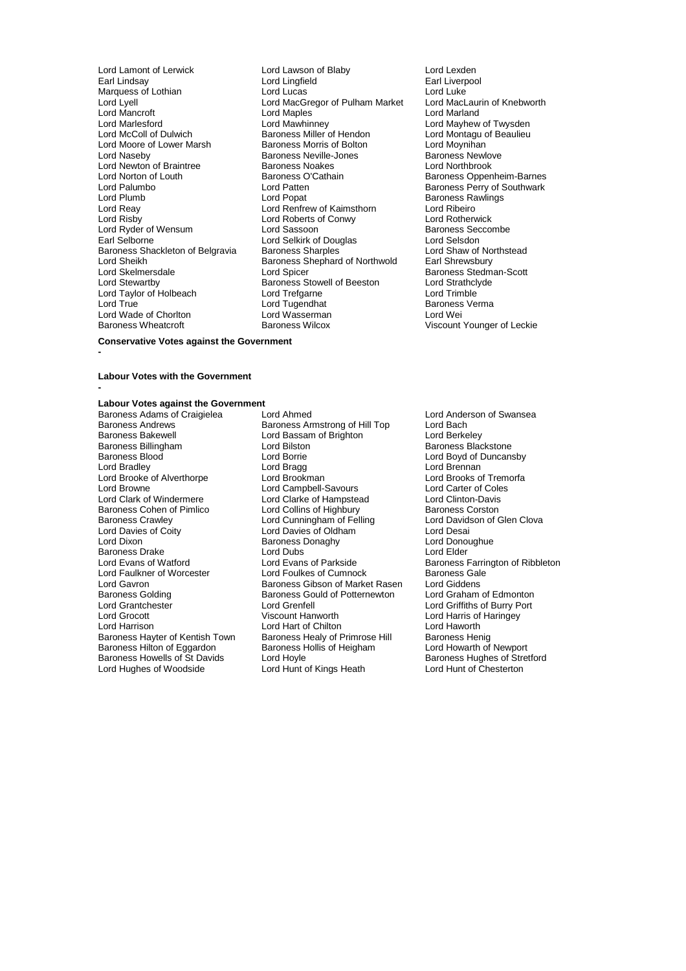Lord Mancroft **Lord Maples**<br>
Lord Marlesford **Lord Mawhinnev** Lord Newton of Braintree Baroness Noakes<br>
Lord Norton of Louth Baroness O'Cathain Lord Sheikh Baroness Shephard of Northwold<br>
Lord Skelmersdale<br>
Lord Spicer Lord Stewartby<br>
Lord Taylor of Holbeach Lord Trefgarne<br>
Lord True Lord True Lord True Lord True Lord Wade of Chorlton Lord Wasserman<br>Baroness Wheatcroft Baroness Wilcox

Lord Lamont of Lerwick Lord Lawson of Blaby Lord Lexden<br>
Lord Lingfield
Lord Lingfield
Lord Lingfield
Lord Lingfield
Lord Lingfield
Lord Lingfield
Lord Lingfield
Lord Lingfiel **Lord Lingfield** Earl Liverpool<br>
Lord Lucas<br>
Lord Lucas Marquess of Lothian **Lord Lucas** Lord Lucas Lord Lucas Lord Lucas Lord Lucas Lord Lucas Lord MacGregor of Pulham Market Lord MacLaurin of Knebworth Lord MacGregor of Pulham Market Lord MacLaurin Lord MacLaurin Cord Market Lord Marland Lord Marlesford Lord Mawhinney Lord Mayhew of Twysden **Baroness Miller of Hendon** Lord Montagu of Beaulieu<br>
Baroness Morris of Bolton Lord Moynihan Lord Moore of Lower Marsh **Baroness Morris of Bolton** Lord Moynihan<br>
Lord Naseby **Baroness Newlow** Baroness Neville-Jones **Baroness Newlove** Exaroness Neville-Jones<br>
Baroness Noakes<br>
Lord Northbrook Lord Norton of Louth **Baroness O'Cathain**<br>Lord Patten Baroness O'Cathain Baroness Oppenheim-Barnes<br>Baroness Perry of Southwark Lord Palumbo Lord Patten Baroness Perry of Southwark Lord Plumb **Lord Popat** Cord Popat Baroness Rawlings<br>
Lord Reav **Baroness Rawlings**<br>
Lord Reav **Baroness Rawlings**<br>
Lord Reav **Baroness Rawlings** Lord Reay Lord Renfrew of Kaimsthorn Lord Ribeiro Lord Roberts of Conwy Lord Rotherwick<br>
Lord Sassoon Conwy Baroness Seccombe Lord Ryder of Wensum Lord Sassoon<br>
Lord Selver Carl Selver Lord Selvirk of Douglas<br>
Lord Selsdon Cord Selvirk of Douglas Lord Selkirk of Douglas<br>
Baroness Sharples<br>
Lord Shaw of Northstead Baroness Shackleton of Belgravia Baroness Sharples **Baroness Sharples Lord Shaw of Northwold** Lord Shaw of Northstead<br>Baroness Shephard of Northwold Earl Shrewsbury Exaroness Stowell of Beeston Lord Strathcly<br>
Lord Trefgarne Lord Trimble Lord Tugendhat **Baroness Verma**<br> **Example 2** Lord Wei

Baroness Stedman-Scott<br>Lord Strathclyde **Barones**<br>Viscount Younger of Leckie

### **Conservative Votes against the Government**

#### **Labour Votes with the Government -**

**-**

### **Labour Votes against the Government**

Baroness Bakewell **Lord Bassam of Brighton Baroness Billingham** Lord Bilston Lord Bilston Baroness Cohen of Pimlico Baroness Drake Lord Dubs<br>
Lord Evans of Watford<br>
Lord Evans of Parkside Baroness Howells of St Davids Lord Hoyle Correct Correct Baroness Hughes of Stretford Baroness Hughes of Stret<br>
Lord Hughes of Woodside Lord Hunt of Kings Heath Lord Hunt of Chesterton

Baroness Adams of Craigielea Lord Ahmed<br>
Baroness Andrews
Baroness Amstrong of Hill Top
Lord Bach<br>
Lord Bach Baroness Andrews **Baroness Armstrong of Hill Top** Lord Bach<br>Baroness Bakewell **Bassam of Brighton** Lord Berkeley Baroness Billingham **Lord Bilston** Communication Baroness Blackstone<br>Baroness Blood Boom Lord Borrie **Baroness Blood Baroness Blood Baroness** Lord Boyd of Duncans Baroness Blood Lord Borrie Lord Boyd of Duncansby Lord Bradley Lord Bragg Lord Brennan Lord Brooke of Alverthorpe Lord Brookman Lord Brooks of Tremorfa Lord Browne **Lord Campbell-Savours** Lord Carter of Cole<br>
Lord Clark Coles Lord Clarke of Hampstead Lord Clinton-Davis Lord Clarke of Hampstead Lord Clinton-Davis<br>
Lord Collins of Highbury Baroness Corston Baroness Crawley **Exercise Crames Crawley** Lord Cunningham of Felling **Lord Davidson of Glen Clova**<br>
Lord Davies of Coity **Lord Davies of Oldham** Lord Desai Lord Davies of Coity<br>
Lord Dixon<br>
Lord Dixon<br>
Baroness Donaghy<br>
Lord Donoughue **Baroness Donaghy Lord Donoughy Lord Donoughland Baroness Donaghy Lord Elder** Lord Evans of Parkside **Baroness Farrington of Ribbleton**<br>
Lord Foulkes of Cumnock Baroness Gale Lord Faulkner of Worcester Lord Foulkes of Cumnock Baroness Gale<br>Lord Gavron Baroness Gibson of Market Rasen Lord Giddens Lord Gavron Communiculary Charoness Gibson of Market Rasen Cord Giddens<br>
Baroness Golding Saroness Gould of Potternewton Lord Graham of Edmonton Baroness Golding Baroness Gould of Potternewton<br>
Lord Grantchester
Lord Grenfell Lord Grantchester **Lord Grentell** Lord Grenfell Lord Grentel Lord Griffiths of Burry Port<br>Lord Grocott **Lord Green Corporation** Viscount Hanworth **Lord Harris of Haringev** Lord Grocott Viscount Hanworth Lord Harris of Haringey Lord Hart of Chilton Lord Haworth<br>Baroness Healy of Primrose Hill Baroness Henig Baroness Hayter of Kentish Town Baroness Healy of Primrose Hill Baroness Henig<br>Baroness Hilton of Eggardon Baroness Hollis of Heigham Lord Howarth of Newport Baroness Hilton of Eggardon Baroness Hollis of Heigham Lord Howarth of Newport<br>Baroness Howells of St Davids Lord Hoyle Lord Hoyle Baroness Hughes of Stretford Lord Hunt of Kings Heath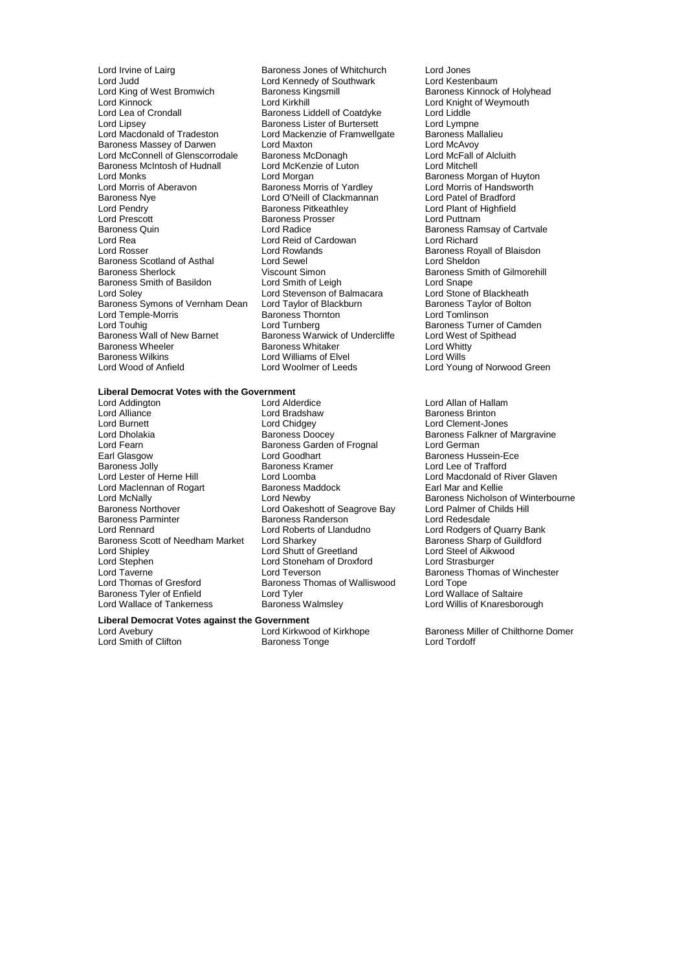Lord Irvine of Lairg **Baroness Jones of Whitchurch** Lord Jones<br>
Lord Judd<br>
Lord Judd<br>
Lord Kestenbaum Lord Judd<br>
Lord King of West Bromwich<br>
Baroness Kingsmill Lord King of West Bromwich Baroness Kingsmill Baroness Kinnock of Holyhead<br>
Lord Kinnock Cord Kinnock Cord Kingsmill Baroness Kinnock of Weymouth Lord Kinnock Lord Kirkhill Lord Kirkhill Lord Knight of Weymouth<br>
Lord Lea of Crondall Baroness Liddell of Coatdyke Lord Liddle Lord Lea of Crondall **Baroness Liddell of Coatdyke** Lord Liddle<br>
Lord Lipsev **Baroness Lister of Burtersett** Lord Lympne Lord Lipsey **Baroness Lister of Burtersett** Lord Lympne<br>
Lord Macdonald of Tradeston Lord Mackenzie of Framwellgate Baroness Mallalieu Baroness Massey of Darwen Lord Maxton Lord The Lord McAvoy<br>
Lord McConnell of Glenscorrodale Baroness McDonagh Lord McFall of Alcluith Lord McConnell of Glenscorrodale Baroness McDonagh Lord McFall of Baroness McDonagh Lord McFall of Baroness McDonagh Lord Mitchell Baroness McIntosh of Hudnall Lord McKenz<br>Lord Monks Lord Morgan Lord Monks<br>
Lord Monks **Lord Morgan Communist Communist Communist Communist Communist Communist Communist Communist Communist Communist Communist Communist Communist Communist Communist Communist Communist Communist Commun** Lord Morris of Aberavon **Baroness Morris of Yardley** Lord Morris of Handsworth Baroness Morris of Handsworth Cor<br>Baroness Nye **Baroness Lord O'Neill of Clackmannan** Lord Patel of Bradford Baroness Nye Lord O'Neill of Clackmannan<br>
Lord Pendry Corresponding Baroness Pitkeathley Lord Pendry **Carolic Exercise School Baroness Pitkeathley Carolic Carolic Lord Plant of Highfield Lord Prescott**<br>
Lord Prescott **Carolic Baroness Prosser Conditional Lord Puttnam** Lord Prescott<br>Baroness Quin<br>Lord Radice<br>Lord Radice Baroness Quin **Baroness Communist Control** Lord Radice **Baroness Ramsay of Cartvale**<br>
Lord Rea **Baroness Ramsay of Carty Control** Lord Richard<br>
Lord Rea **Baroness Action** Lord Rea Lord Reid of Cardowan<br>
Lord Rosser Lord Rowlands Baroness Scotland of Asthal Lord Sewel<br>
Baroness Sherlock 
Uiscount Simon Baroness Smith of Basildon Lord Smith of Leigh Lord Snape<br>
Lord Soley Cord Stevenson of Balmacara Lord Stone of Blackheath Lord Soley **Lord Stevenson of Balmacara** Lord Stevenson of Balmacara Lord Stone of Blackheath<br>Baroness Symons of Vernham Dean Lord Taylor of Blackburn Baroness Taylor of Bolton Baroness Symons of Vernham Dean Lord Taylor of Blackburn Baroness Taylor of Blackburn Baroness Taylor of Blackburn Lord Tomlinson Lord Temple-Morris Baroness Thornton Lord Touhiq<br>
Lord Touhiq Cord Turnberg Lord Touhig Lord Turnberg Lord Turnberg Baroness Turner of Camden<br>
Baroness Wall of New Barnet Baroness Warwick of Undercliffe Lord West of Spithead Baroness Wall of New Barnet Baroness Warwick of Undercliffe Lord West controller the Spithead Baroness Whitaker<br>Baroness Wheeler Baroness Whitaker Lord Whitty er Baroness Wheeler Management Baroness Whitaker Cord Whitty Lord Whitt<br>Baroness Wilkins Cord Williams of Elvel Cord Wills Baroness Wilkins **Lord Williams of Elvel**<br>
Lord Wood of Anfield
Lord Woolmer of Leeds

Lord Mackenzie of Framwellgate Baroness Mal<br>Lord Maxton Lord McAvoy Lord Rowlands **Baroness Royall of Blaisdon**<br>
Lord Sewel **Baroness Royall of Blaisdon** Viscount Simon<br>
Lord Smith of Leigh<br>
Lord Snape<br>
Lord Snape

### **Liberal Democrat Votes with the Government**

Lord Alliance Lord Bradshaw<br>
Lord Burnett Lord Chidgey Lord Burnett Lord Chidgey Lord Clement-Jones Lord Fearn **Baroness Garden of Frognal**<br>
Earl Glasgow **Baroness Card Coodhart** Earl Glasgow Lord Goodhart Baroness Hussein-Ece Baroness Jolly **Baroness Kramer** Baroness Kramer **Lord Lee of Trafford**<br>
Lord Lester of Herne Hill **Browner Lord Loomba** Lord Macdonald of R Lord Maclennan of Rogart Baroness Maclennan of Rogart Baroness Maclennia<br>
Lord McNally Baroness Maclennia Baroness Northover **Lord Oakeshott of Seagrove Bay** Lord Palmer of C<br>
Baroness Parminter **Baroness Randerson** Lord Redesdale Baroness Parminter Baroness Randerson<br>
Baroness Randerson<br>
Lord Roberts of Llandudno Baroness Scott of Needham Market Lord Sharkey Communication Baroness Sharp of Guilding Lord Steel of Aikwood<br>Lord Shutt of Greetland Lord Steel of Aikwood Lord Shutt of Greetland Lord Steel of Aikh<br>
Lord Stephen Lord Stoneham of Droxford Lord Strasburger Lord Stephen Lord Stoneham of Droxford<br>
Lord Taverne Lord Teverson Lord Taverne **Lord Teverson**<br>
Lord Thomas of Gresford Baroness Thomas of Walliswood Lord Tope<br>
Lord Thomas of Gresford Baroness Thomas of Walliswood Lord Tope Baroness Tyler of Enfield

Lord Addington Lord Alderdice Lord Allan of Hallam Lord Loomba<br>
Baroness Maddock **Lord Macdonald of River Glaven**<br>
Earl Mar and Kellie Lord Roberts of Llandudno<br>
Lord Sharkey<br>
Baroness Sharp of Guildford Baroness Thomas of Walliswood Lord Tope<br>Lord Tyler Lord Wallace of Saltaire Lord Wallace of Tankerness Baroness Walmsley Lord Willis of Knaresborough

### **Liberal Democrat Votes against the Government**

Lord Smith of Clifton

Lord Young of Norwood Green

Baroness Falkner of Margravine<br>Lord German Lord McNally Lord Newby Baroness Nicholson of Winterbourne

Lord Kirkwood of Kirkhope Baroness Miller of Chilthorne Domer<br>Baroness Tonge Baroness Muller of Tordoff